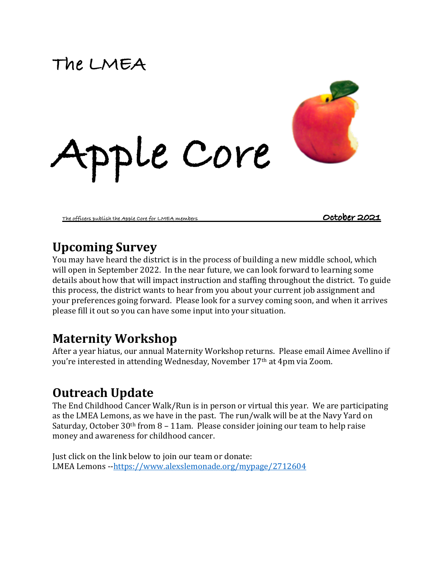# **The LMEA**



**The officers publish the Apple Core for LMEA members October 2021** 

#### **Upcoming Survey**

You may have heard the district is in the process of building a new middle school, which will open in September 2022. In the near future, we can look forward to learning some details about how that will impact instruction and staffing throughout the district. To guide this process, the district wants to hear from you about your current job assignment and your preferences going forward. Please look for a survey coming soon, and when it arrives please fill it out so you can have some input into your situation.

#### **Maternity Workshop**

After a year hiatus, our annual Maternity Workshop returns. Please email Aimee Avellino if you're interested in attending Wednesday, November 17<sup>th</sup> at 4pm via Zoom.

### **Outreach Update**

The End Childhood Cancer Walk/Run is in person or virtual this year. We are participating as the LMEA Lemons, as we have in the past. The run/walk will be at the Navy Yard on Saturday, October  $30<sup>th</sup>$  from 8 – 11am. Please consider joining our team to help raise money and awareness for childhood cancer.

Just click on the link below to join our team or donate: LMEA Lemons --https://www.alexslemonade.org/mypage/2712604